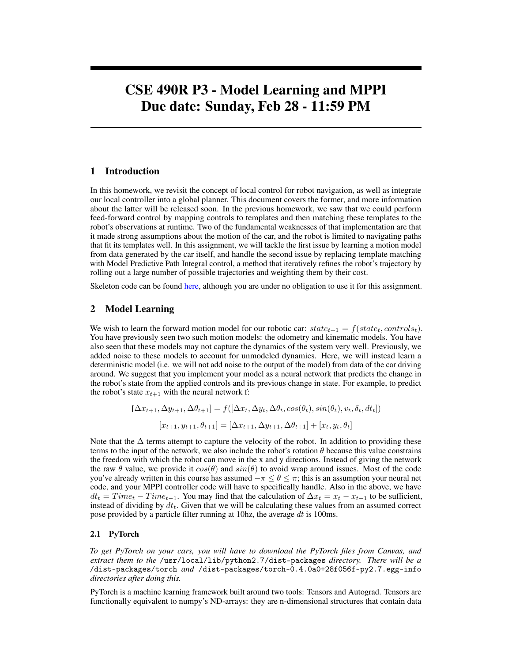# CSE 490R P3 - Model Learning and MPPI Due date: Sunday, Feb 28 - 11:59 PM

# 1 Introduction

In this homework, we revisit the concept of local control for robot navigation, as well as integrate our local controller into a global planner. This document covers the former, and more information about the latter will be released soon. In the previous homework, we saw that we could perform feed-forward control by mapping controls to templates and then matching these templates to the robot's observations at runtime. Two of the fundamental weaknesses of that implementation are that it made strong assumptions about the motion of the car, and the robot is limited to navigating paths that fit its templates well. In this assignment, we will tackle the first issue by learning a motion model from data generated by the car itself, and handle the second issue by replacing template matching with Model Predictive Path Integral control, a method that iteratively refines the robot's trajectory by rolling out a large number of possible trajectories and weighting them by their cost.

Skeleton code can be found [here,](https://gitlab.cs.washington.edu/cse490r_18wi/lab3) although you are under no obligation to use it for this assignment.

# 2 Model Learning

We wish to learn the forward motion model for our robotic car:  $state_{t+1} = f(state_t, controls_t)$ . You have previously seen two such motion models: the odometry and kinematic models. You have also seen that these models may not capture the dynamics of the system very well. Previously, we added noise to these models to account for unmodeled dynamics. Here, we will instead learn a deterministic model (i.e. we will not add noise to the output of the model) from data of the car driving around. We suggest that you implement your model as a neural network that predicts the change in the robot's state from the applied controls and its previous change in state. For example, to predict the robot's state  $x_{t+1}$  with the neural network f:

$$
[\Delta x_{t+1}, \Delta y_{t+1}, \Delta \theta_{t+1}] = f([\Delta x_t, \Delta y_t, \Delta \theta_t, \cos(\theta_t), \sin(\theta_t), v_t, \delta_t, dt_t])
$$

$$
[x_{t+1}, y_{t+1}, \theta_{t+1}] = [\Delta x_{t+1}, \Delta y_{t+1}, \Delta \theta_{t+1}] + [x_t, y_t, \theta_t]
$$

Note that the  $\Delta$  terms attempt to capture the velocity of the robot. In addition to providing these terms to the input of the network, we also include the robot's rotation  $\theta$  because this value constrains the freedom with which the robot can move in the x and y directions. Instead of giving the network the raw  $\theta$  value, we provide it  $cos(\theta)$  and  $sin(\theta)$  to avoid wrap around issues. Most of the code you've already written in this course has assumed  $-\pi \leq \theta \leq \pi$ ; this is an assumption your neural net code, and your MPPI controller code will have to specifically handle. Also in the above, we have  $dt_t = Time_t - Time_{t-1}$ . You may find that the calculation of  $\Delta x_t = x_t - x_{t-1}$  to be sufficient, instead of dividing by  $dt_t$ . Given that we will be calculating these values from an assumed correct pose provided by a particle filter running at 10hz, the average  $dt$  is 100ms.

# 2.1 PyTorch

*To get PyTorch on your cars, you will have to download the PyTorch files from Canvas, and extract them to the* /usr/local/lib/python2.7/dist-packages *directory. There will be a* /dist-packages/torch *and* /dist-packages/torch-0.4.0a0+28f056f-py2.7.egg-info *directories after doing this.*

PyTorch is a machine learning framework built around two tools: Tensors and Autograd. Tensors are functionally equivalent to numpy's ND-arrays: they are n-dimensional structures that contain data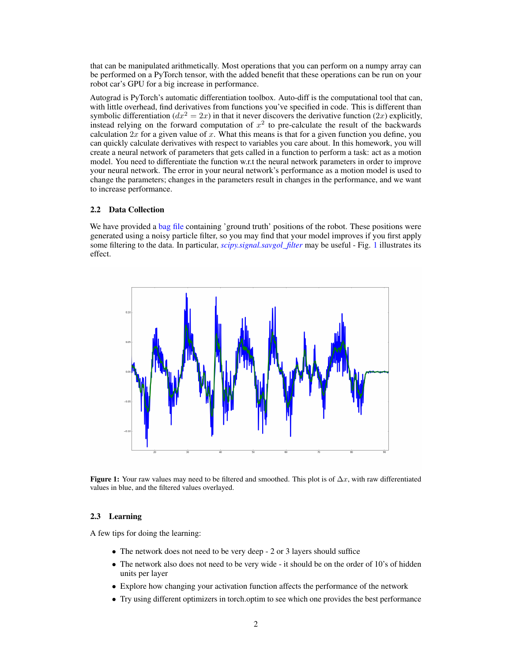that can be manipulated arithmetically. Most operations that you can perform on a numpy array can be performed on a PyTorch tensor, with the added benefit that these operations can be run on your robot car's GPU for a big increase in performance.

Autograd is PyTorch's automatic differentiation toolbox. Auto-diff is the computational tool that can, with little overhead, find derivatives from functions you've specified in code. This is different than symbolic differentiation ( $dx^2 = 2x$ ) in that it never discovers the derivative function (2x) explicitly, instead relying on the forward computation of  $x^2$  to pre-calculate the result of the backwards calculation  $2x$  for a given value of x. What this means is that for a given function you define, you can quickly calculate derivatives with respect to variables you care about. In this homework, you will create a neural network of parameters that gets called in a function to perform a task: act as a motion model. You need to differentiate the function w.r.t the neural network parameters in order to improve your neural network. The error in your neural network's performance as a motion model is used to change the parameters; changes in the parameters result in changes in the performance, and we want to increase performance.

## 2.2 Data Collection

We have provided a [bag file](https://drive.google.com/file/d/1_Aa-3QcZut0qTM_tJr07MKSk4iI0N-ry/view?usp=sharing) containing 'ground truth' positions of the robot. These positions were generated using a noisy particle filter, so you may find that your model improves if you first apply some filtering to the data. In particular, *scipy.signal.savgol filter* may be useful - Fig. [1](#page-1-0) illustrates its effect.

<span id="page-1-0"></span>

Figure 1: Your raw values may need to be filtered and smoothed. This plot is of  $\Delta x$ , with raw differentiated values in blue, and the filtered values overlayed.

## 2.3 Learning

A few tips for doing the learning:

- The network does not need to be very deep 2 or 3 layers should suffice
- The network also does not need to be very wide it should be on the order of 10's of hidden units per layer
- Explore how changing your activation function affects the performance of the network
- Try using different optimizers in torch.optim to see which one provides the best performance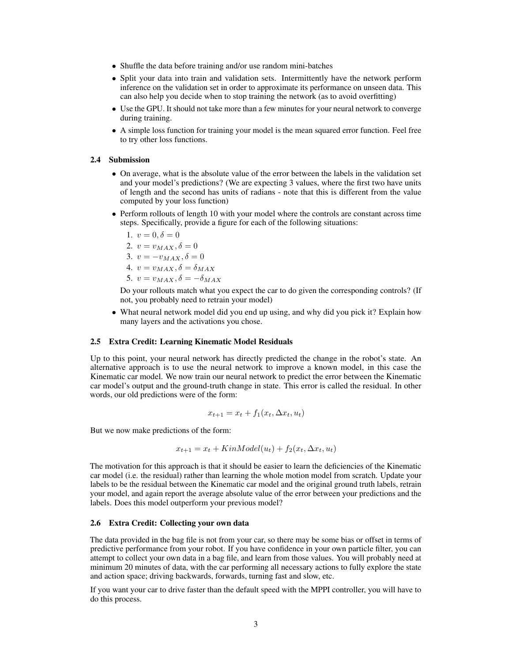- Shuffle the data before training and/or use random mini-batches
- Split your data into train and validation sets. Intermittently have the network perform inference on the validation set in order to approximate its performance on unseen data. This can also help you decide when to stop training the network (as to avoid overfitting)
- Use the GPU. It should not take more than a few minutes for your neural network to converge during training.
- A simple loss function for training your model is the mean squared error function. Feel free to try other loss functions.

#### 2.4 Submission

- On average, what is the absolute value of the error between the labels in the validation set and your model's predictions? (We are expecting 3 values, where the first two have units of length and the second has units of radians - note that this is different from the value computed by your loss function)
- Perform rollouts of length 10 with your model where the controls are constant across time steps. Specifically, provide a figure for each of the following situations:

$$
1. \, v=0, \delta=0
$$

$$
2. v = v_{MAX}, \delta = 0
$$

- 3.  $v = -v_{MAX}, \delta = 0$
- 4.  $v = v_{MAX}, \delta = \delta_{MAX}$
- 5.  $v = v_{MAX}, \delta = -\delta_{MAX}$

Do your rollouts match what you expect the car to do given the corresponding controls? (If not, you probably need to retrain your model)

• What neural network model did you end up using, and why did you pick it? Explain how many layers and the activations you chose.

## 2.5 Extra Credit: Learning Kinematic Model Residuals

Up to this point, your neural network has directly predicted the change in the robot's state. An alternative approach is to use the neural network to improve a known model, in this case the Kinematic car model. We now train our neural network to predict the error between the Kinematic car model's output and the ground-truth change in state. This error is called the residual. In other words, our old predictions were of the form:

$$
x_{t+1} = x_t + f_1(x_t, \Delta x_t, u_t)
$$

But we now make predictions of the form:

$$
x_{t+1} = x_t + KinModel(u_t) + f_2(x_t, \Delta x_t, u_t)
$$

The motivation for this approach is that it should be easier to learn the deficiencies of the Kinematic car model (i.e. the residual) rather than learning the whole motion model from scratch. Update your labels to be the residual between the Kinematic car model and the original ground truth labels, retrain your model, and again report the average absolute value of the error between your predictions and the labels. Does this model outperform your previous model?

# 2.6 Extra Credit: Collecting your own data

The data provided in the bag file is not from your car, so there may be some bias or offset in terms of predictive performance from your robot. If you have confidence in your own particle filter, you can attempt to collect your own data in a bag file, and learn from those values. You will probably need at minimum 20 minutes of data, with the car performing all necessary actions to fully explore the state and action space; driving backwards, forwards, turning fast and slow, etc.

If you want your car to drive faster than the default speed with the MPPI controller, you will have to do this process.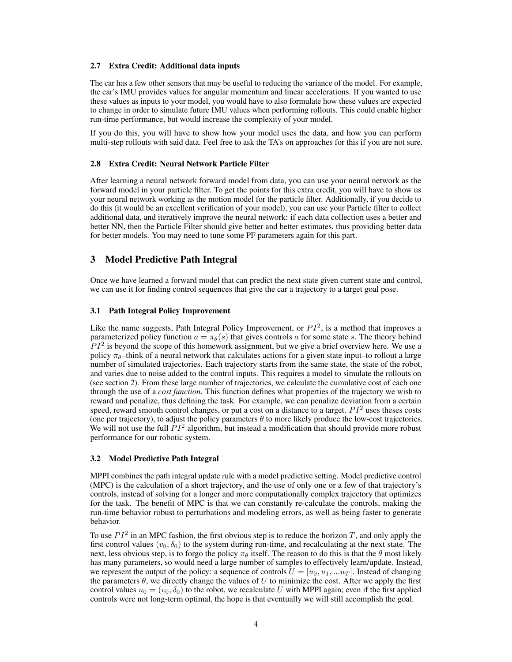## 2.7 Extra Credit: Additional data inputs

The car has a few other sensors that may be useful to reducing the variance of the model. For example, the car's IMU provides values for angular momentum and linear accelerations. If you wanted to use these values as inputs to your model, you would have to also formulate how these values are expected to change in order to simulate future IMU values when performing rollouts. This could enable higher run-time performance, but would increase the complexity of your model.

If you do this, you will have to show how your model uses the data, and how you can perform multi-step rollouts with said data. Feel free to ask the TA's on approaches for this if you are not sure.

## 2.8 Extra Credit: Neural Network Particle Filter

After learning a neural network forward model from data, you can use your neural network as the forward model in your particle filter. To get the points for this extra credit, you will have to show us your neural network working as the motion model for the particle filter. Additionally, if you decide to do this (it would be an excellent verification of your model), you can use your Particle filter to collect additional data, and iteratively improve the neural network: if each data collection uses a better and better NN, then the Particle Filter should give better and better estimates, thus providing better data for better models. You may need to tune some PF parameters again for this part.

# 3 Model Predictive Path Integral

Once we have learned a forward model that can predict the next state given current state and control, we can use it for finding control sequences that give the car a trajectory to a target goal pose.

## 3.1 Path Integral Policy Improvement

Like the name suggests, Path Integral Policy Improvement, or  $PI^2$ , is a method that improves a parameterized policy function  $a = \pi_{\theta}(s)$  that gives controls a for some state s. The theory behind  $PI<sup>2</sup>$  is beyond the scope of this homework assignment, but we give a brief overview here. We use a policy  $\pi_{\theta}$ –think of a neural network that calculates actions for a given state input–to rollout a large number of simulated trajectories. Each trajectory starts from the same state, the state of the robot, and varies due to noise added to the control inputs. This requires a model to simulate the rollouts on (see section 2). From these large number of trajectories, we calculate the cumulative cost of each one through the use of a *cost function*. This function defines what properties of the trajectory we wish to reward and penalize, thus defining the task. For example, we can penalize deviation from a certain speed, reward smooth control changes, or put a cost on a distance to a target.  $PI<sup>2</sup>$  uses theses costs (one per trajectory), to adjust the policy parameters  $\theta$  to more likely produce the low-cost trajectories. We will not use the full  $PI^2$  algorithm, but instead a modification that should provide more robust performance for our robotic system.

#### 3.2 Model Predictive Path Integral

MPPI combines the path integral update rule with a model predictive setting. Model predictive control (MPC) is the calculation of a short trajectory, and the use of only one or a few of that trajectory's controls, instead of solving for a longer and more computationally complex trajectory that optimizes for the task. The benefit of MPC is that we can constantly re-calculate the controls, making the run-time behavior robust to perturbations and modeling errors, as well as being faster to generate behavior.

To use  $PI^2$  in an MPC fashion, the first obvious step is to reduce the horizon T, and only apply the first control values  $(v_0, \delta_0)$  to the system during run-time, and recalculating at the next state. The next, less obvious step, is to forgo the policy  $\pi_{\theta}$  itself. The reason to do this is that the  $\theta$  most likely has many parameters, so would need a large number of samples to effectively learn/update. Instead, we represent the output of the policy: a sequence of controls  $U = [u_0, u_1, ... u_T]$ . Instead of changing the parameters  $\theta$ , we directly change the values of U to minimize the cost. After we apply the first control values  $u_0 = (v_0, \delta_0)$  to the robot, we recalculate U with MPPI again; even if the first applied controls were not long-term optimal, the hope is that eventually we will still accomplish the goal.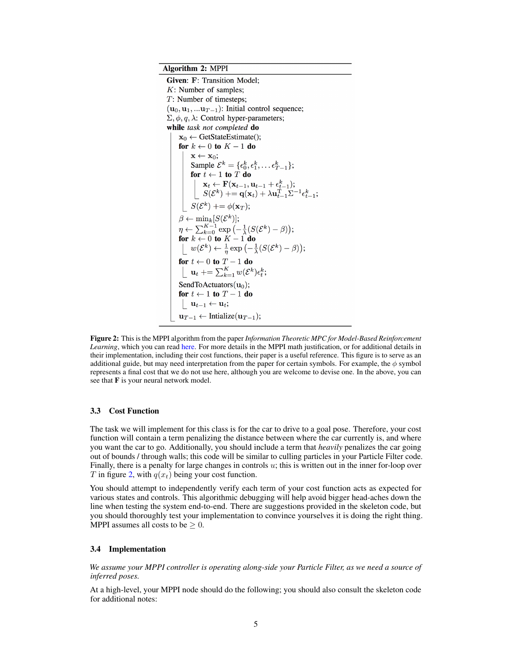<span id="page-4-0"></span>**Algorithm 2: MPPI** 

Given: F: Transition Model:  $K$ : Number of samples;  $T$ : Number of timesteps;  $(\mathbf{u}_0, \mathbf{u}_1, \dots, \mathbf{u}_{T-1})$ : Initial control sequence;  $\Sigma, \phi, q, \lambda$ : Control hyper-parameters; while task not completed do  $\mathbf{x}_0 \leftarrow \text{GetStateEstimate}()$ ; for  $k \leftarrow 0$  to  $K - 1$  do  $\mathbf{x} \leftarrow \mathbf{x}_0;$ Sample  $\mathcal{E}^k = \{\epsilon_0^k, \epsilon_1^k, \ldots \epsilon_{T-1}^k\};$ <br>
for  $t \leftarrow 1$  to T do<br>  $\begin{cases} \n\mathbf{x}_t \leftarrow \mathbf{F}(\mathbf{x}_{t-1}, \mathbf{u}_{t-1} + \epsilon_{t-1}^k);\\ \nS(\mathcal{E}^k) \leftarrow \mathbf{q}(\mathbf{x}_t) + \lambda \mathbf{u}_{t-1}^T \Sigma^{-1} \epsilon_{t-1}^k; \n\end{cases}$  $S(\mathcal{E}^k) \rightarrow = \phi(\mathbf{x}_T);$  $\beta \leftarrow \min_k[S(\mathcal{E}^k)];\ \eta \leftarrow \sum_{k=0}^{K-1} \exp\left(-\frac{1}{\lambda}(S(\mathcal{E}^k) - \beta)\right); \ \text{for } k \leftarrow 0 \text{ to } K-1 \text{ do} \ \left\lfloor \begin{array}{c} w(\mathcal{E}^k) \leftarrow \frac{1}{\eta} \exp\left(-\frac{1}{\lambda}(S(\mathcal{E}^k) - \beta)\right); \end{array} \right.$ for  $t \leftarrow 0$  to  $T - 1$  do<br>  $\begin{bmatrix} \mathbf{u}_t + \sum_{k=1}^K w(\mathcal{E}^k) \epsilon_t^k; \end{bmatrix}$ SendToActuators $(\mathbf{u}_0)$ ; for  $t \leftarrow 1$  to  $T - 1$  do  $| \mathbf{u}_{t-1} \leftarrow \mathbf{u}_t;$  $\mathbf{u}_{T-1} \leftarrow$  Intialize( $\mathbf{u}_{T-1}$ );

Figure 2: This is the MPPI algorithm from the paper *Information Theoretic MPC for Model-Based Reinforcement Learning*, which you can read [here.](https://www.cc.gatech.edu/~bboots3/files/InformationTheoreticMPC.pdf) For more details in the MPPI math justification, or for additional details in their implementation, including their cost functions, their paper is a useful reference. This figure is to serve as an additional guide, but may need interpretation from the paper for certain symbols. For example, the  $\phi$  symbol represents a final cost that we do not use here, although you are welcome to devise one. In the above, you can see that  $\mathbf F$  is your neural network model.

## 3.3 Cost Function

The task we will implement for this class is for the car to drive to a goal pose. Therefore, your cost function will contain a term penalizing the distance between where the car currently is, and where you want the car to go. Additionally, you should include a term that *heavily* penalizes the car going out of bounds / through walls; this code will be similar to culling particles in your Particle Filter code. Finally, there is a penalty for large changes in controls u; this is written out in the inner for-loop over T in figure [2,](#page-4-0) with  $q(x_t)$  being your cost function.

You should attempt to independently verify each term of your cost function acts as expected for various states and controls. This algorithmic debugging will help avoid bigger head-aches down the line when testing the system end-to-end. There are suggestions provided in the skeleton code, but you should thoroughly test your implementation to convince yourselves it is doing the right thing. MPPI assumes all costs to be  $\geq 0$ .

#### 3.4 Implementation

*We assume your MPPI controller is operating along-side your Particle Filter, as we need a source of inferred poses.*

At a high-level, your MPPI node should do the following; you should also consult the skeleton code for additional notes: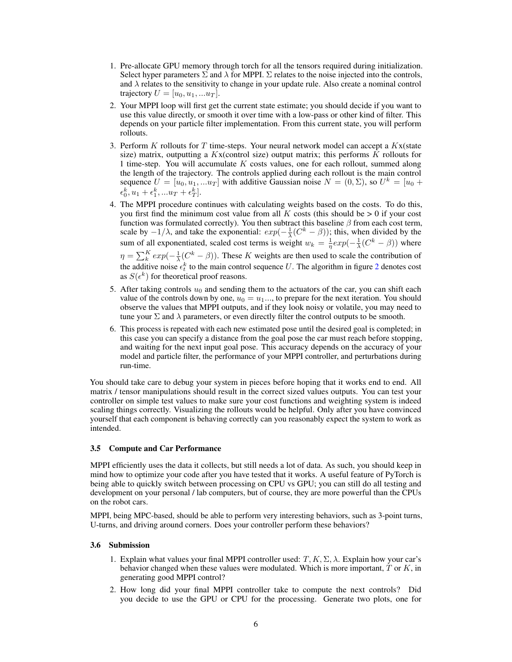- 1. Pre-allocate GPU memory through torch for all the tensors required during initialization. Select hyper parameters  $\Sigma$  and  $\lambda$  for MPPI.  $\Sigma$  relates to the noise injected into the controls, and  $\lambda$  relates to the sensitivity to change in your update rule. Also create a nominal control trajectory  $U = [u_0, u_1, ... u_T]$ .
- 2. Your MPPI loop will first get the current state estimate; you should decide if you want to use this value directly, or smooth it over time with a low-pass or other kind of filter. This depends on your particle filter implementation. From this current state, you will perform rollouts.
- 3. Perform  $K$  rollouts for  $T$  time-steps. Your neural network model can accept a  $Kx$  (state size) matrix, outputting a  $Kx$ (control size) output matrix; this performs  $K$  rollouts for 1 time-step. You will accumulate  $K$  costs values, one for each rollout, summed along the length of the trajectory. The controls applied during each rollout is the main control sequence  $U = [u_0, u_1, ... u_T]$  with additive Gaussian noise  $N = (0, \Sigma)$ , so  $U^k = [u_0 +$  $\epsilon_0^k, u_1 + \epsilon_1^k, ... u_T + \epsilon_T^k$ .
- 4. The MPPI procedure continues with calculating weights based on the costs. To do this, you first find the minimum cost value from all K costs (this should be  $> 0$  if your cost function was formulated correctly). You then subtract this baseline  $\beta$  from each cost term, scale by  $-1/\lambda$ , and take the exponential:  $exp(-\frac{1}{\lambda}(C^k - \beta))$ ; this, when divided by the sum of all exponentiated, scaled cost terms is weight  $w_k = \frac{1}{\eta} exp(-\frac{1}{\lambda}(C^k - \beta))$  where  $\eta = \sum_{k=0}^{K} exp(-\frac{1}{\lambda}(C^k - \beta))$ . These K weights are then used to scale the contribution of the additive noise  $\epsilon_t^k$  to the main control sequence U. The algorithm in figure [2](#page-4-0) denotes cost as  $S(\epsilon^k)$  for theoretical proof reasons.
- 5. After taking controls  $u_0$  and sending them to the actuators of the car, you can shift each value of the controls down by one,  $u_0 = u_1 \dots$ , to prepare for the next iteration. You should observe the values that MPPI outputs, and if they look noisy or volatile, you may need to tune your  $\Sigma$  and  $\lambda$  parameters, or even directly filter the control outputs to be smooth.
- 6. This process is repeated with each new estimated pose until the desired goal is completed; in this case you can specify a distance from the goal pose the car must reach before stopping, and waiting for the next input goal pose. This accuracy depends on the accuracy of your model and particle filter, the performance of your MPPI controller, and perturbations during run-time.

You should take care to debug your system in pieces before hoping that it works end to end. All matrix / tensor manipulations should result in the correct sized values outputs. You can test your controller on simple test values to make sure your cost functions and weighting system is indeed scaling things correctly. Visualizing the rollouts would be helpful. Only after you have convinced yourself that each component is behaving correctly can you reasonably expect the system to work as intended.

# 3.5 Compute and Car Performance

MPPI efficiently uses the data it collects, but still needs a lot of data. As such, you should keep in mind how to optimize your code after you have tested that it works. A useful feature of PyTorch is being able to quickly switch between processing on CPU vs GPU; you can still do all testing and development on your personal / lab computers, but of course, they are more powerful than the CPUs on the robot cars.

MPPI, being MPC-based, should be able to perform very interesting behaviors, such as 3-point turns, U-turns, and driving around corners. Does your controller perform these behaviors?

#### 3.6 Submission

- 1. Explain what values your final MPPI controller used:  $T, K, \Sigma, \lambda$ . Explain how your car's behavior changed when these values were modulated. Which is more important,  $T$  or  $K$ , in generating good MPPI control?
- 2. How long did your final MPPI controller take to compute the next controls? Did you decide to use the GPU or CPU for the processing. Generate two plots, one for